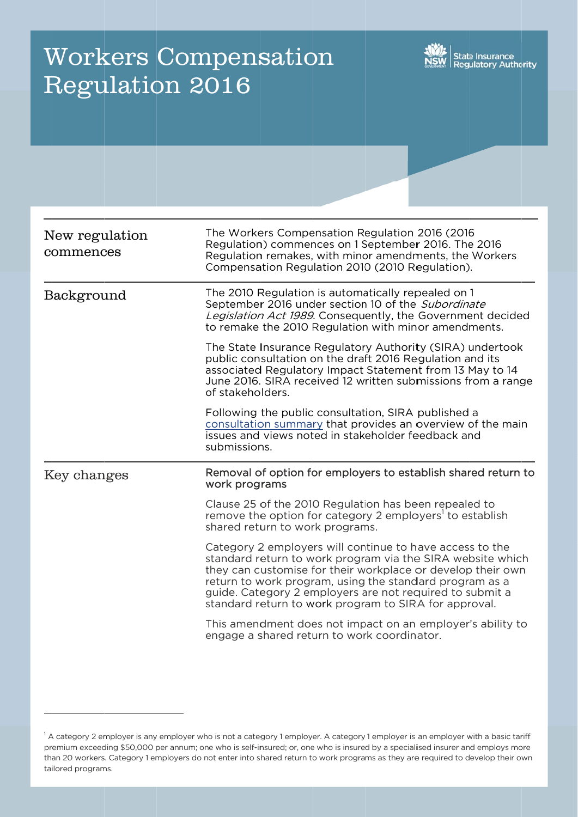# Workers Compensation Regulation 2016



| New regulation<br>commences | The Workers Compensation Regulation 2016 (2016)<br>Regulation) commences on 1 September 2016. The 2016<br>Regulation remakes, with minor amendments, the Workers<br>Compensation Regulation 2010 (2010 Regulation).                                                                                                                                                   |
|-----------------------------|-----------------------------------------------------------------------------------------------------------------------------------------------------------------------------------------------------------------------------------------------------------------------------------------------------------------------------------------------------------------------|
| Background                  | The 2010 Regulation is automatically repealed on 1<br>September 2016 under section 10 of the Subordinate<br>Legislation Act 1989. Consequently, the Government decided<br>to remake the 2010 Regulation with minor amendments.                                                                                                                                        |
|                             | The State Insurance Regulatory Authority (SIRA) undertook<br>public consultation on the draft 2016 Regulation and its<br>associated Regulatory Impact Statement from 13 May to 14<br>June 2016. SIRA received 12 written submissions from a range<br>of stakeholders.                                                                                                 |
|                             | Following the public consultation, SIRA published a<br>consultation summary that provides an overview of the main<br>issues and views noted in stakeholder feedback and<br>submissions.                                                                                                                                                                               |
| Key changes                 | Removal of option for employers to establish shared return to<br>work programs                                                                                                                                                                                                                                                                                        |
|                             | Clause 25 of the 2010 Regulation has been repealed to<br>remove the option for category 2 employers <sup>1</sup> to establish<br>shared return to work programs.                                                                                                                                                                                                      |
|                             | Category 2 employers will continue to have access to the<br>standard return to work program via the SIRA website which<br>they can customise for their workplace or develop their own<br>return to work program, using the standard program as a<br>guide. Category 2 employers are not required to submit a<br>standard return to work program to SIRA for approval. |
|                             | This amendment does not impact on an employer's ability to<br>engage a shared return to work coordinator.                                                                                                                                                                                                                                                             |

<sup>&</sup>lt;sup>1</sup> A category 2 employer is any employer who is not a category 1 employer. A category 1 employer is an employer with a basic tariff premium exceeding \$50,000 per annum; one who is self-insured; or, one who is insured by a specialised insurer and employs more than 20 workers. Category 1 employers do not enter into shared return to work programs as they are required to develop their own tailored programs.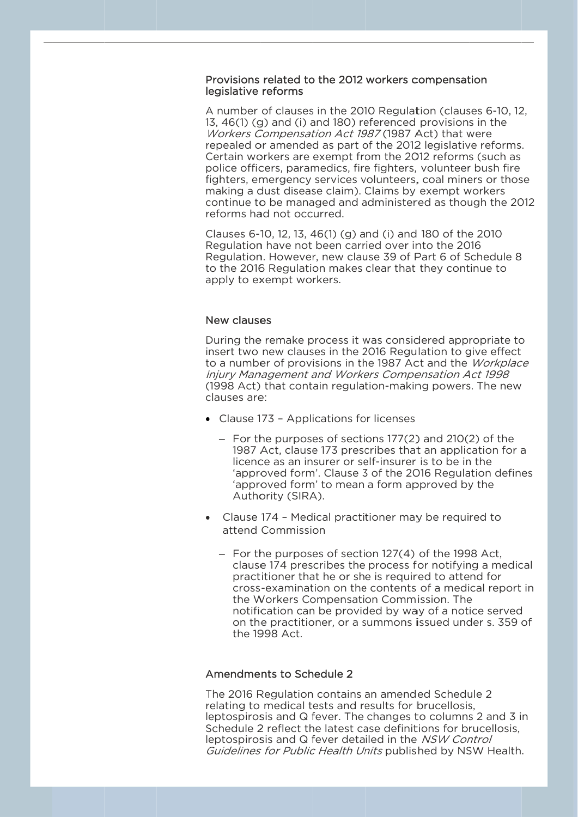## Provisions related to the 2012 workers compensation legislative reforms

A number of clauses in the 2010 Regulation (clauses 6-10, 12, 13, 46(1) (g) and (i) and 180) referenced provisions in the Workers Compensation Act 1987 (1987 Act) that were repealed or amended as part of the 2012 legislative reforms. Certain workers are exempt from the 2012 reforms (such as police officers, paramedics, fire fighters, volunteer bush fire fighters, emergency services volunteers, coal miners or those making a dust disease claim). Claims by exempt workers continue to be managed and administered as though the 2012 reforms had not occurred.

Clauses 6-10, 12, 13, 46(1) (g) and (i) and 180 of the 2010 Regulation have not been carried over into the 2016 Regulation. However, new clause 39 of Part 6 of Schedule 8 to the 2016 Regulation makes clear that they continue to apply to exempt workers.

## New clauses

During the remake process it was considered appropriate to insert two new clauses in the 2016 Regulation to give effect to a number of provisions in the 1987 Act and the Workplace Injury Management and Workers Compensation Act 1998 (1998 Act) that contain regulation-making powers. The new clauses are:

- Clause 173 Applications for licenses
	- For the purposes of sections 177(2) and 210(2) of the 1987 Act, clause 173 prescribes that an application for a licence as an insurer or self-insurer is to be in the 'approved form'. Clause 3 of the 2016 Regulation defines 'approved form' to mean a form approved by the Authority (SIRA).
- Clause 174 Medical practitioner may be required to attend Commission
	- For the purposes of section 127(4) of the 1998 Act, clause 174 prescribes the process for notifying a medical practitioner that he or she is required to attend for cross-examination on the contents of a medical report in the Workers Compensation Commission. The notification can be provided by way of a notice served on the practitioner, or a summons issued under s, 359 of the 1998 Act.

# Amendments to Schedule 2

The 2016 Regulation contains an amended Schedule 2 relating to medical tests and results for brucellosis, leptospirosis and Q fever. The changes to columns 2 and 3 in Schedule 2 reflect the latest case definitions for brucellosis. leptospirosis and Q fever detailed in the NSW Control Guidelines for Public Health Units published by NSW Health.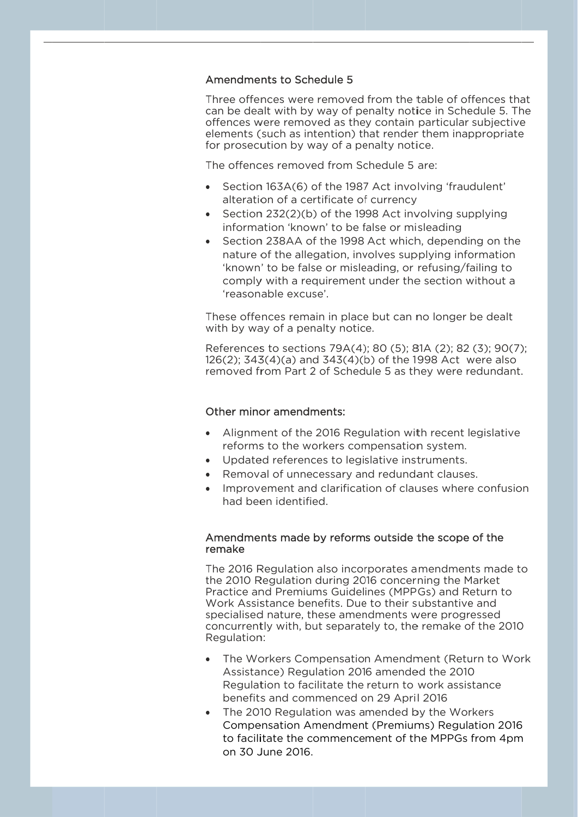## Amendments to Schedule 5

Three offences were removed from the table of offences that can be dealt with by way of penalty notice in Schedule 5. The offences were removed as they contain particular subjective elements (such as intention) that render them inappropriate for prosecution by way of a penalty notice.

The offences removed from Schedule 5 are:

- Section 163A(6) of the 1987 Act involving 'fraudulent' alteration of a certificate of currency
- Section 232(2)(b) of the 1998 Act involving supplying information 'known' to be false or misleading
- Section 238AA of the 1998 Act which, depending on the nature of the allegation, involves supplying information 'known' to be false or misleading, or refusing/failing to comply with a requirement under the section without a 'reasonable excuse'

These offences remain in place but can no longer be dealt with by way of a penalty notice.

References to sections 79A(4); 80 (5); 81A (2); 82 (3); 90(7); 126(2); 343(4)(a) and 343(4)(b) of the 1998 Act were also removed from Part 2 of Schedule 5 as they were redundant.

## Other minor amendments:

- Alignment of the 2016 Regulation with recent legislative reforms to the workers compensation system.
- Updated references to legislative instruments.
- Removal of unnecessary and redundant clauses.
- Improvement and clarification of clauses where confusion had been identified.

## Amendments made by reforms outside the scope of the remake

The 2016 Regulation also incorporates amendments made to the 2010 Regulation during 2016 concerning the Market Practice and Premiums Guidelines (MPPGs) and Return to Work Assistance benefits. Due to their substantive and specialised nature, these amendments were progressed concurrently with, but separately to, the remake of the 2010 Regulation:

- The Workers Compensation Amendment (Return to Work Assistance) Regulation 2016 amended the 2010 Regulation to facilitate the return to work assistance benefits and commenced on 29 April 2016
- The 2010 Regulation was amended by the Workers Compensation Amendment (Premiums) Regulation 2016 to facilitate the commencement of the MPPGs from 4pm on 30 June 2016.